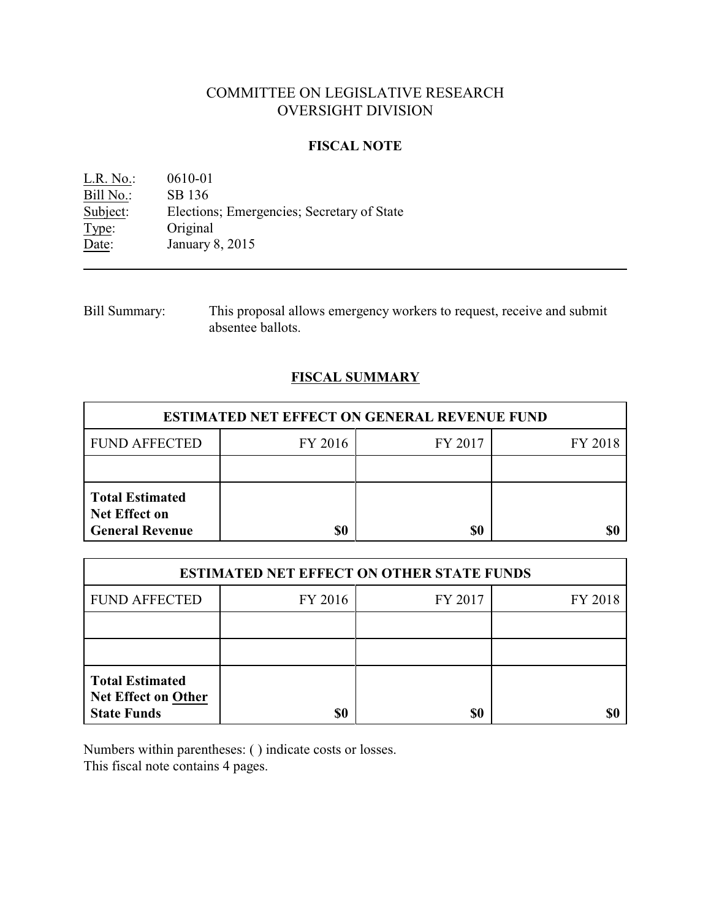# COMMITTEE ON LEGISLATIVE RESEARCH OVERSIGHT DIVISION

#### **FISCAL NOTE**

L.R. No.: 0610-01 Bill No.: SB 136<br>Subject: Election Subject: Elections; Emergencies; Secretary of State Type: Original Type: Original<br>Date: January 8 January 8, 2015

| <b>Bill Summary:</b> | This proposal allows emergency workers to request, receive and submit |
|----------------------|-----------------------------------------------------------------------|
|                      | absentee ballots.                                                     |

# **FISCAL SUMMARY**

| <b>ESTIMATED NET EFFECT ON GENERAL REVENUE FUND</b>                      |         |         |         |  |
|--------------------------------------------------------------------------|---------|---------|---------|--|
| <b>FUND AFFECTED</b>                                                     | FY 2016 | FY 2017 | FY 2018 |  |
|                                                                          |         |         |         |  |
| <b>Total Estimated</b><br><b>Net Effect on</b><br><b>General Revenue</b> | \$0     | \$0     |         |  |

| <b>ESTIMATED NET EFFECT ON OTHER STATE FUNDS</b>                           |         |         |         |  |
|----------------------------------------------------------------------------|---------|---------|---------|--|
| <b>FUND AFFECTED</b>                                                       | FY 2016 | FY 2017 | FY 2018 |  |
|                                                                            |         |         |         |  |
|                                                                            |         |         |         |  |
| <b>Total Estimated</b><br><b>Net Effect on Other</b><br><b>State Funds</b> | \$0     | \$0     |         |  |

Numbers within parentheses: ( ) indicate costs or losses. This fiscal note contains 4 pages.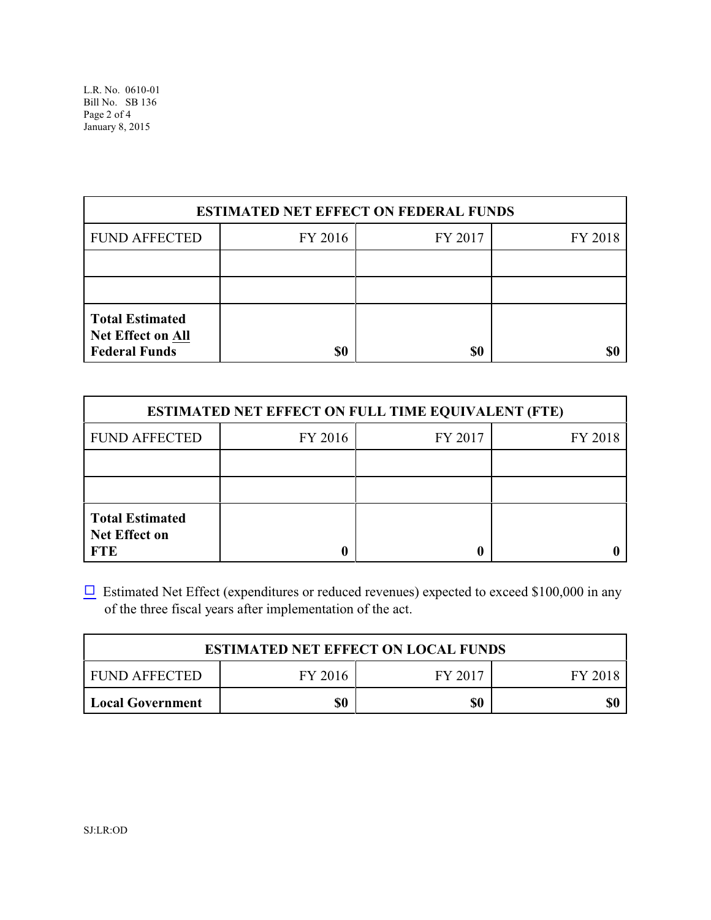L.R. No. 0610-01 Bill No. SB 136 Page 2 of 4 January 8, 2015

| <b>ESTIMATED NET EFFECT ON FEDERAL FUNDS</b>                               |         |         |         |  |
|----------------------------------------------------------------------------|---------|---------|---------|--|
| <b>FUND AFFECTED</b>                                                       | FY 2016 | FY 2017 | FY 2018 |  |
|                                                                            |         |         |         |  |
|                                                                            |         |         |         |  |
| <b>Total Estimated</b><br><b>Net Effect on All</b><br><b>Federal Funds</b> | \$0     | \$0     |         |  |

| <b>ESTIMATED NET EFFECT ON FULL TIME EQUIVALENT (FTE)</b>    |         |         |         |  |
|--------------------------------------------------------------|---------|---------|---------|--|
| <b>FUND AFFECTED</b>                                         | FY 2016 | FY 2017 | FY 2018 |  |
|                                                              |         |         |         |  |
|                                                              |         |         |         |  |
| <b>Total Estimated</b><br><b>Net Effect on</b><br><b>FTE</b> |         |         |         |  |

 $\Box$  Estimated Net Effect (expenditures or reduced revenues) expected to exceed \$100,000 in any of the three fiscal years after implementation of the act.

| <b>ESTIMATED NET EFFECT ON LOCAL FUNDS</b> |         |         |         |
|--------------------------------------------|---------|---------|---------|
| I FUND AFFECTED                            | FY 2016 | FY 2017 | FY 2018 |
| Local Government                           | \$0     | \$0     | \$0     |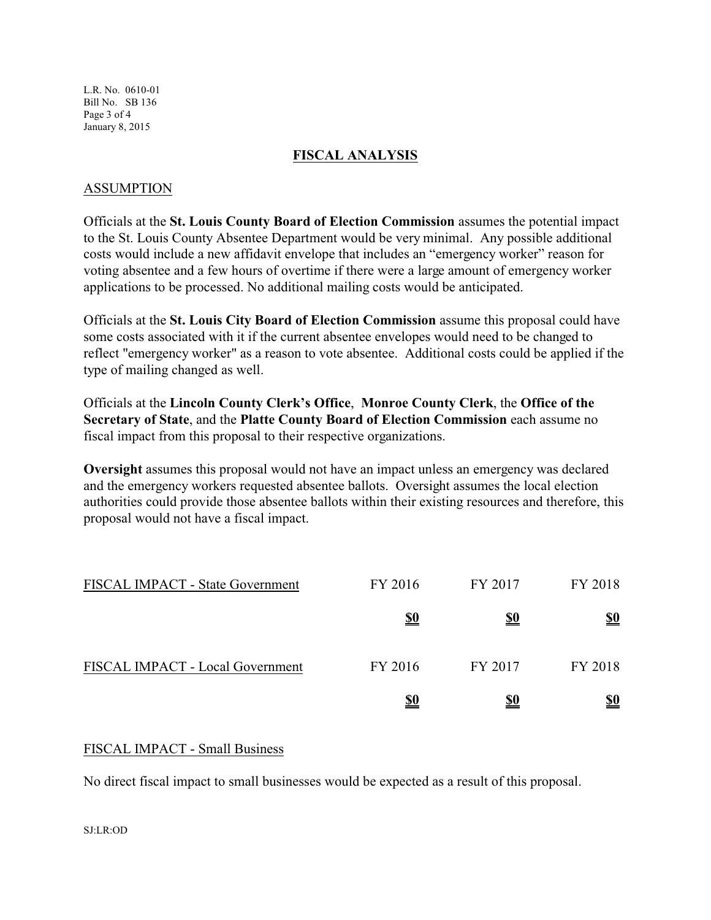L.R. No. 0610-01 Bill No. SB 136 Page 3 of 4 January 8, 2015

## **FISCAL ANALYSIS**

#### ASSUMPTION

Officials at the **St. Louis County Board of Election Commission** assumes the potential impact to the St. Louis County Absentee Department would be very minimal. Any possible additional costs would include a new affidavit envelope that includes an "emergency worker" reason for voting absentee and a few hours of overtime if there were a large amount of emergency worker applications to be processed. No additional mailing costs would be anticipated.

Officials at the **St. Louis City Board of Election Commission** assume this proposal could have some costs associated with it if the current absentee envelopes would need to be changed to reflect "emergency worker" as a reason to vote absentee. Additional costs could be applied if the type of mailing changed as well.

Officials at the **Lincoln County Clerk's Office**, **Monroe County Clerk**, the **Office of the Secretary of State**, and the **Platte County Board of Election Commission** each assume no fiscal impact from this proposal to their respective organizations.

**Oversight** assumes this proposal would not have an impact unless an emergency was declared and the emergency workers requested absentee ballots. Oversight assumes the local election authorities could provide those absentee ballots within their existing resources and therefore, this proposal would not have a fiscal impact.

| FISCAL IMPACT - State Government | FY 2016    | FY 2017    | FY 2018    |
|----------------------------------|------------|------------|------------|
|                                  | <u>\$0</u> | <u>\$0</u> | <u>\$0</u> |
| FISCAL IMPACT - Local Government | FY 2016    | FY 2017    | FY 2018    |
|                                  | <u>\$0</u> | <u>\$0</u> | <u>\$0</u> |

## FISCAL IMPACT - Small Business

No direct fiscal impact to small businesses would be expected as a result of this proposal.